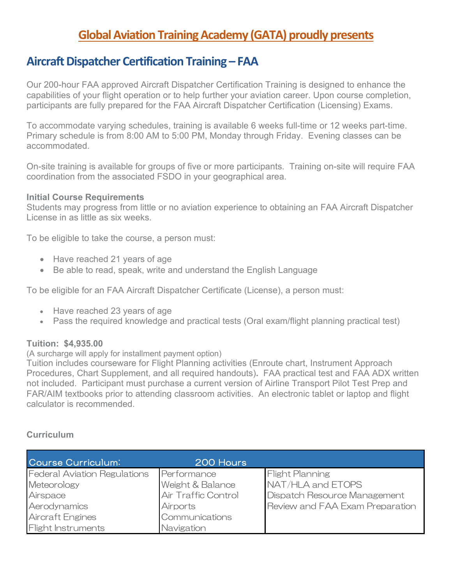# **Global Aviation Training Academy (GATA) proudly presents**

# **Aircraft Dispatcher Certification Training – FAA**

Our 200-hour FAA approved Aircraft Dispatcher Certification Training is designed to enhance the capabilities of your flight operation or to help further your aviation career. Upon course completion, participants are fully prepared for the FAA Aircraft Dispatcher Certification (Licensing) Exams.

To accommodate varying schedules, training is available 6 weeks full-time or 12 weeks part-time. Primary schedule is from 8:00 AM to 5:00 PM, Monday through Friday. Evening classes can be accommodated.

On-site training is available for groups of five or more participants. Training on-site will require FAA coordination from the associated FSDO in your geographical area.

#### **Initial Course Requirements**

Students may progress from little or no aviation experience to obtaining an FAA Aircraft Dispatcher License in as little as six weeks.

To be eligible to take the course, a person must:

- Have reached 21 years of age
- Be able to read, speak, write and understand the English Language

To be eligible for an FAA Aircraft Dispatcher Certificate (License), a person must:

- Have reached 23 years of age
- Pass the required knowledge and practical tests (Oral exam/flight planning practical test)

## **Tuition: \$4,935.00**

(A surcharge will apply for installment payment option)

Tuition includes courseware for Flight Planning activities (Enroute chart, Instrument Approach Procedures, Chart Supplement, and all required handouts)**.** FAA practical test and FAA ADX written not included. Participant must purchase a current version of Airline Transport Pilot Test Prep and FAR/AIM textbooks prior to attending classroom activities. An electronic tablet or laptop and flight calculator is recommended.

## **Curriculum**

| Course Curriculum:                  | 200 Hours           |                                 |
|-------------------------------------|---------------------|---------------------------------|
| <b>Federal Aviation Regulations</b> | Performance         | <b>Flight Planning</b>          |
| Meteorology                         | Weight & Balance    | NAT/HLA and ETOPS               |
| Airspace                            | Air Traffic Control | Dispatch Resource Management    |
| Aerodynamics                        | <b>Airports</b>     | Review and FAA Exam Preparation |
| <b>Aircraft Engines</b>             | Communications      |                                 |
| <b>Flight Instruments</b>           | Navigation          |                                 |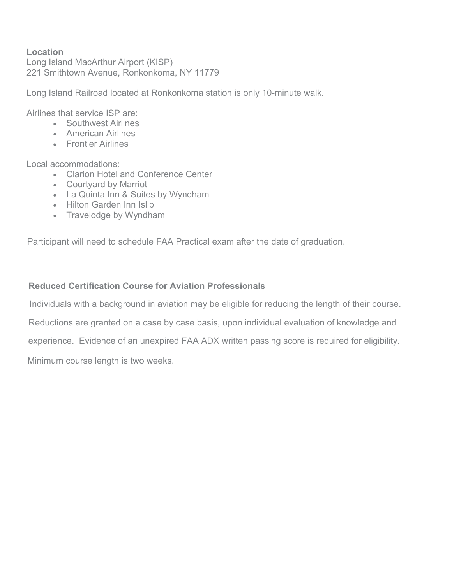# **Location**

Long Island MacArthur Airport (KISP) 221 Smithtown Avenue, Ronkonkoma, NY 11779

Long Island Railroad located at Ronkonkoma station is only 10-minute walk.

Airlines that service ISP are:

- Southwest Airlines
- American Airlines
- Frontier Airlines

Local accommodations:

- Clarion Hotel and Conference Center
- Courtyard by Marriot
- La Quinta Inn & Suites by Wyndham
- Hilton Garden Inn Islip
- Travelodge by Wyndham

Participant will need to schedule FAA Practical exam after the date of graduation.

# **Reduced Certification Course for Aviation Professionals**

Individuals with a background in aviation may be eligible for reducing the length of their course.

Reductions are granted on a case by case basis, upon individual evaluation of knowledge and

experience. Evidence of an unexpired FAA ADX written passing score is required for eligibility.

Minimum course length is two weeks.